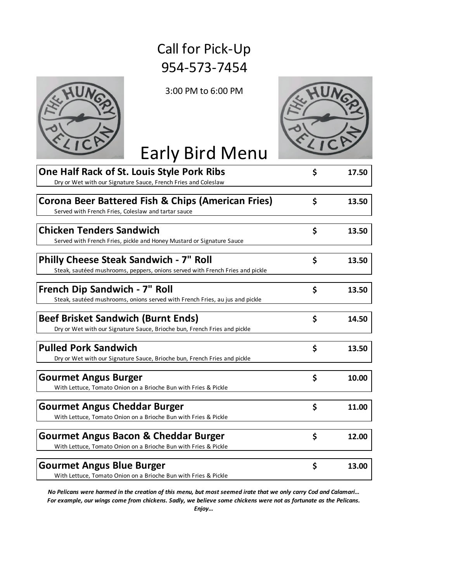## Call for Pick-Up 954-573-7454



3:00 PM to 6:00 PM



## Early Bird Menu

| One Half Rack of St. Louis Style Pork Ribs                                    | \$<br>17.50 |
|-------------------------------------------------------------------------------|-------------|
| Dry or Wet with our Signature Sauce, French Fries and Coleslaw                |             |
| <b>Corona Beer Battered Fish &amp; Chips (American Fries)</b>                 | \$<br>13.50 |
| Served with French Fries, Coleslaw and tartar sauce                           |             |
|                                                                               |             |
| <b>Chicken Tenders Sandwich</b>                                               | \$<br>13.50 |
| Served with French Fries, pickle and Honey Mustard or Signature Sauce         |             |
|                                                                               |             |
| <b>Philly Cheese Steak Sandwich - 7" Roll</b>                                 | \$<br>13.50 |
| Steak, sautéed mushrooms, peppers, onions served with French Fries and pickle |             |
|                                                                               |             |
| French Dip Sandwich - 7" Roll                                                 | \$<br>13.50 |
| Steak, sautéed mushrooms, onions served with French Fries, au jus and pickle  |             |
|                                                                               |             |
| <b>Beef Brisket Sandwich (Burnt Ends)</b>                                     | \$<br>14.50 |
| Dry or Wet with our Signature Sauce, Brioche bun, French Fries and pickle     |             |
|                                                                               |             |
| <b>Pulled Pork Sandwich</b>                                                   | \$<br>13.50 |
| Dry or Wet with our Signature Sauce, Brioche bun, French Fries and pickle     |             |
|                                                                               |             |
| <b>Gourmet Angus Burger</b>                                                   | \$<br>10.00 |
| With Lettuce, Tomato Onion on a Brioche Bun with Fries & Pickle               |             |
|                                                                               |             |
| <b>Gourmet Angus Cheddar Burger</b>                                           | \$<br>11.00 |
| With Lettuce, Tomato Onion on a Brioche Bun with Fries & Pickle               |             |
| <b>Gourmet Angus Bacon &amp; Cheddar Burger</b>                               | \$<br>12.00 |
|                                                                               |             |
| With Lettuce, Tomato Onion on a Brioche Bun with Fries & Pickle               |             |
| <b>Gourmet Angus Blue Burger</b>                                              | \$<br>13.00 |
| With Lettuce, Tomato Onion on a Brioche Bun with Fries & Pickle               |             |

*Enjoy… No Pelicans were harmed in the creation of this menu, but most seemed irate that we only carry Cod and Calamari… For example, our wings come from chickens. Sadly, we believe some chickens were not as fortunate as the Pelicans.*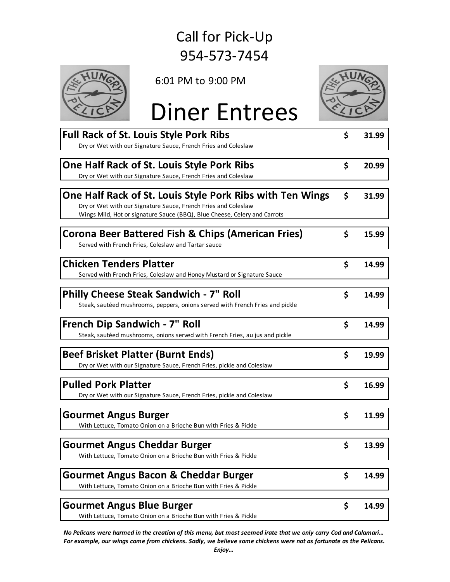## 954-573-7454 Call for Pick-Up



6:01 PM to 9:00 PM



## Diner Entrees

| <b>Full Rack of St. Louis Style Pork Ribs</b>                                 | \$<br>31.99 |
|-------------------------------------------------------------------------------|-------------|
| Dry or Wet with our Signature Sauce, French Fries and Coleslaw                |             |
|                                                                               |             |
| One Half Rack of St. Louis Style Pork Ribs                                    | \$<br>20.99 |
| Dry or Wet with our Signature Sauce, French Fries and Coleslaw                |             |
|                                                                               |             |
| One Half Rack of St. Louis Style Pork Ribs with Ten Wings                     | \$<br>31.99 |
| Dry or Wet with our Signature Sauce, French Fries and Coleslaw                |             |
| Wings Mild, Hot or signature Sauce (BBQ), Blue Cheese, Celery and Carrots     |             |
|                                                                               |             |
| <b>Corona Beer Battered Fish &amp; Chips (American Fries)</b>                 | \$<br>15.99 |
| Served with French Fries, Coleslaw and Tartar sauce                           |             |
| <b>Chicken Tenders Platter</b>                                                | \$<br>14.99 |
| Served with French Fries, Coleslaw and Honey Mustard or Signature Sauce       |             |
|                                                                               |             |
| <b>Philly Cheese Steak Sandwich - 7" Roll</b>                                 | \$<br>14.99 |
| Steak, sautéed mushrooms, peppers, onions served with French Fries and pickle |             |
|                                                                               |             |
| French Dip Sandwich - 7" Roll                                                 | \$<br>14.99 |
| Steak, sautéed mushrooms, onions served with French Fries, au jus and pickle  |             |
|                                                                               |             |
| <b>Beef Brisket Platter (Burnt Ends)</b>                                      | \$<br>19.99 |
| Dry or Wet with our Signature Sauce, French Fries, pickle and Coleslaw        |             |
|                                                                               |             |
| <b>Pulled Pork Platter</b>                                                    | \$<br>16.99 |
| Dry or Wet with our Signature Sauce, French Fries, pickle and Coleslaw        |             |
|                                                                               |             |
| <b>Gourmet Angus Burger</b>                                                   | \$<br>11.99 |
| With Lettuce, Tomato Onion on a Brioche Bun with Fries & Pickle               |             |
|                                                                               |             |
| <b>Gourmet Angus Cheddar Burger</b>                                           | \$<br>13.99 |
| With Lettuce, Tomato Onion on a Brioche Bun with Fries & Pickle               |             |
|                                                                               |             |
| <b>Gourmet Angus Bacon &amp; Cheddar Burger</b>                               | \$<br>14.99 |
| With Lettuce, Tomato Onion on a Brioche Bun with Fries & Pickle               |             |
|                                                                               |             |
| <b>Gourmet Angus Blue Burger</b>                                              | \$<br>14.99 |
| With Lettuce, Tomato Onion on a Brioche Bun with Fries & Pickle               |             |

*No Pelicans were harmed in the creation of this menu, but most seemed irate that we only carry Cod and Calamari… For example, our wings come from chickens. Sadly, we believe some chickens were not as fortunate as the Pelicans.*